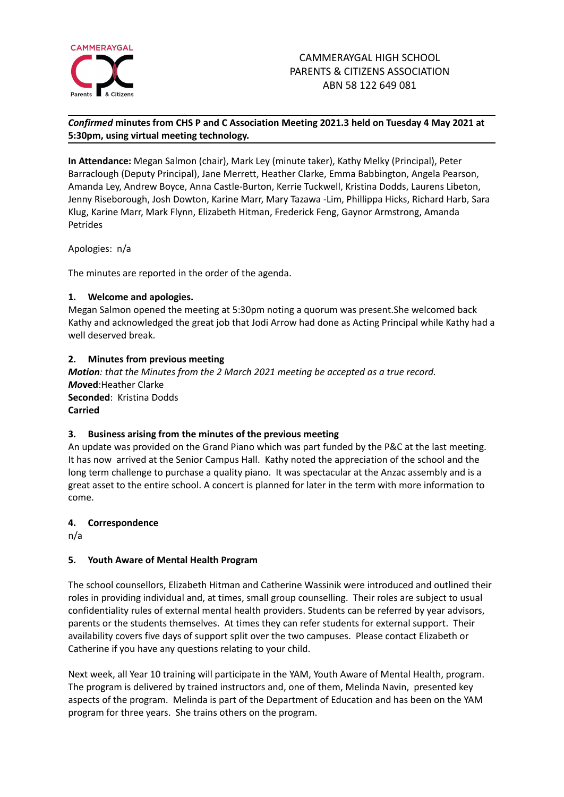

# *Confirmed* **minutes from CHS P and C Association Meeting 2021.3 held on Tuesday 4 May 2021 at 5:30pm, using virtual meeting technology.**

**In Attendance:** Megan Salmon (chair), Mark Ley (minute taker), Kathy Melky (Principal), Peter Barraclough (Deputy Principal), Jane Merrett, Heather Clarke, Emma Babbington, Angela Pearson, Amanda Ley, Andrew Boyce, Anna Castle-Burton, Kerrie Tuckwell, Kristina Dodds, Laurens Libeton, Jenny Riseborough, Josh Dowton, Karine Marr, Mary Tazawa -Lim, Phillippa Hicks, Richard Harb, Sara Klug, Karine Marr, Mark Flynn, Elizabeth Hitman, Frederick Feng, Gaynor Armstrong, Amanda Petrides

Apologies: n/a

The minutes are reported in the order of the agenda.

## **1. Welcome and apologies.**

Megan Salmon opened the meeting at 5:30pm noting a quorum was present.She welcomed back Kathy and acknowledged the great job that Jodi Arrow had done as Acting Principal while Kathy had a well deserved break.

## **2. Minutes from previous meeting**

*Motion: that the Minutes from the 2 March 2021 meeting be accepted as a true record. Mo***ved**:Heather Clarke **Seconded**: Kristina Dodds **Carried**

#### **3. Business arising from the minutes of the previous meeting**

An update was provided on the Grand Piano which was part funded by the P&C at the last meeting. It has now arrived at the Senior Campus Hall. Kathy noted the appreciation of the school and the long term challenge to purchase a quality piano. It was spectacular at the Anzac assembly and is a great asset to the entire school. A concert is planned for later in the term with more information to come.

#### **4. Correspondence**

n/a

# **5. Youth Aware of Mental Health Program**

The school counsellors, Elizabeth Hitman and Catherine Wassinik were introduced and outlined their roles in providing individual and, at times, small group counselling. Their roles are subject to usual confidentiality rules of external mental health providers. Students can be referred by year advisors, parents or the students themselves. At times they can refer students for external support. Their availability covers five days of support split over the two campuses. Please contact Elizabeth or Catherine if you have any questions relating to your child.

Next week, all Year 10 training will participate in the YAM, Youth Aware of Mental Health, program. The program is delivered by trained instructors and, one of them, Melinda Navin, presented key aspects of the program. Melinda is part of the Department of Education and has been on the YAM program for three years. She trains others on the program.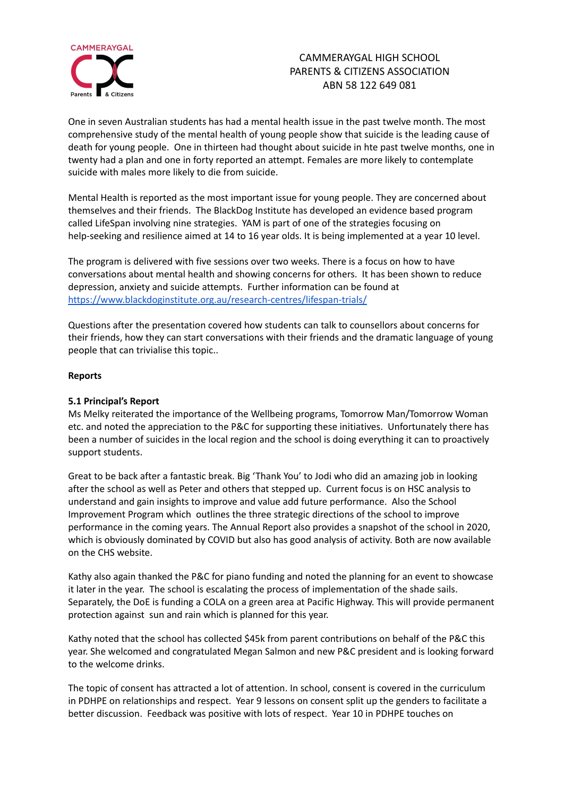

# CAMMERAYGAL HIGH SCHOOL PARENTS & CITIZENS ASSOCIATION ABN 58 122 649 081

One in seven Australian students has had a mental health issue in the past twelve month. The most comprehensive study of the mental health of young people show that suicide is the leading cause of death for young people. One in thirteen had thought about suicide in hte past twelve months, one in twenty had a plan and one in forty reported an attempt. Females are more likely to contemplate suicide with males more likely to die from suicide.

Mental Health is reported as the most important issue for young people. They are concerned about themselves and their friends. The BlackDog Institute has developed an evidence based program called LifeSpan involving nine strategies. YAM is part of one of the strategies focusing on help-seeking and resilience aimed at 14 to 16 year olds. It is being implemented at a year 10 level.

The program is delivered with five sessions over two weeks. There is a focus on how to have conversations about mental health and showing concerns for others. It has been shown to reduce depression, anxiety and suicide attempts. Further information can be found at <https://www.blackdoginstitute.org.au/research-centres/lifespan-trials/>

Questions after the presentation covered how students can talk to counsellors about concerns for their friends, how they can start conversations with their friends and the dramatic language of young people that can trivialise this topic..

#### **Reports**

#### **5.1 Principal's Report**

Ms Melky reiterated the importance of the Wellbeing programs, Tomorrow Man/Tomorrow Woman etc. and noted the appreciation to the P&C for supporting these initiatives. Unfortunately there has been a number of suicides in the local region and the school is doing everything it can to proactively support students.

Great to be back after a fantastic break. Big 'Thank You' to Jodi who did an amazing job in looking after the school as well as Peter and others that stepped up. Current focus is on HSC analysis to understand and gain insights to improve and value add future performance. Also the School Improvement Program which outlines the three strategic directions of the school to improve performance in the coming years. The Annual Report also provides a snapshot of the school in 2020, which is obviously dominated by COVID but also has good analysis of activity. Both are now available on the CHS website.

Kathy also again thanked the P&C for piano funding and noted the planning for an event to showcase it later in the year. The school is escalating the process of implementation of the shade sails. Separately, the DoE is funding a COLA on a green area at Pacific Highway. This will provide permanent protection against sun and rain which is planned for this year.

Kathy noted that the school has collected \$45k from parent contributions on behalf of the P&C this year. She welcomed and congratulated Megan Salmon and new P&C president and is looking forward to the welcome drinks.

The topic of consent has attracted a lot of attention. In school, consent is covered in the curriculum in PDHPE on relationships and respect. Year 9 lessons on consent split up the genders to facilitate a better discussion. Feedback was positive with lots of respect. Year 10 in PDHPE touches on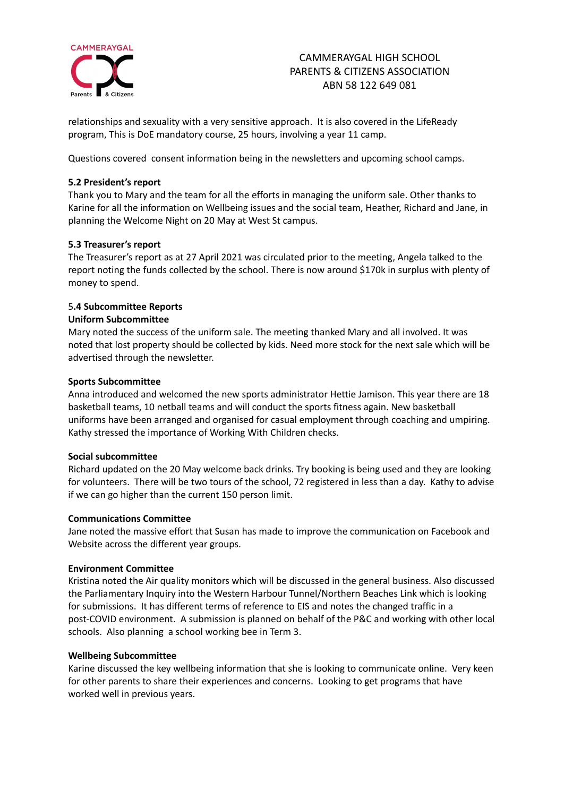

# CAMMERAYGAL HIGH SCHOOL PARENTS & CITIZENS ASSOCIATION ABN 58 122 649 081

relationships and sexuality with a very sensitive approach. It is also covered in the LifeReady program, This is DoE mandatory course, 25 hours, involving a year 11 camp.

Questions covered consent information being in the newsletters and upcoming school camps.

#### **5.2 President's report**

Thank you to Mary and the team for all the efforts in managing the uniform sale. Other thanks to Karine for all the information on Wellbeing issues and the social team, Heather, Richard and Jane, in planning the Welcome Night on 20 May at West St campus.

## **5.3 Treasurer's report**

The Treasurer's report as at 27 April 2021 was circulated prior to the meeting, Angela talked to the report noting the funds collected by the school. There is now around \$170k in surplus with plenty of money to spend.

## 5**.4 Subcommittee Reports**

#### **Uniform Subcommittee**

Mary noted the success of the uniform sale. The meeting thanked Mary and all involved. It was noted that lost property should be collected by kids. Need more stock for the next sale which will be advertised through the newsletter.

#### **Sports Subcommittee**

Anna introduced and welcomed the new sports administrator Hettie Jamison. This year there are 18 basketball teams, 10 netball teams and will conduct the sports fitness again. New basketball uniforms have been arranged and organised for casual employment through coaching and umpiring. Kathy stressed the importance of Working With Children checks.

#### **Social subcommittee**

Richard updated on the 20 May welcome back drinks. Try booking is being used and they are looking for volunteers. There will be two tours of the school, 72 registered in less than a day. Kathy to advise if we can go higher than the current 150 person limit.

#### **Communications Committee**

Jane noted the massive effort that Susan has made to improve the communication on Facebook and Website across the different year groups.

#### **Environment Committee**

Kristina noted the Air quality monitors which will be discussed in the general business. Also discussed the Parliamentary Inquiry into the Western Harbour Tunnel/Northern Beaches Link which is looking for submissions. It has different terms of reference to EIS and notes the changed traffic in a post-COVID environment. A submission is planned on behalf of the P&C and working with other local schools. Also planning a school working bee in Term 3.

#### **Wellbeing Subcommittee**

Karine discussed the key wellbeing information that she is looking to communicate online. Very keen for other parents to share their experiences and concerns. Looking to get programs that have worked well in previous years.